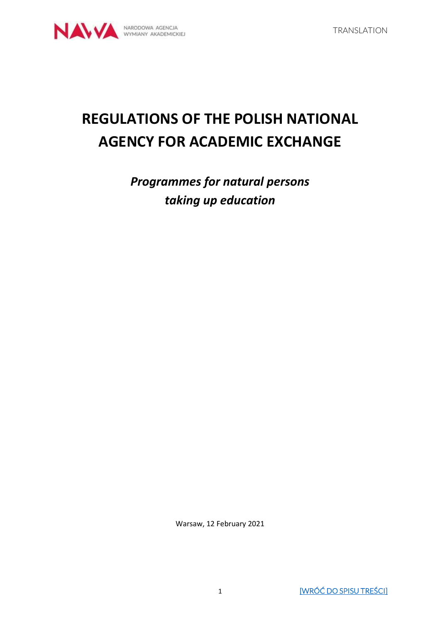# **REGULATIONS OF THE POLISH NATIONAL AGENCY FOR ACADEMIC EXCHANGE**

*Programmes for natural persons taking up education*

Warsaw, 12 February 2021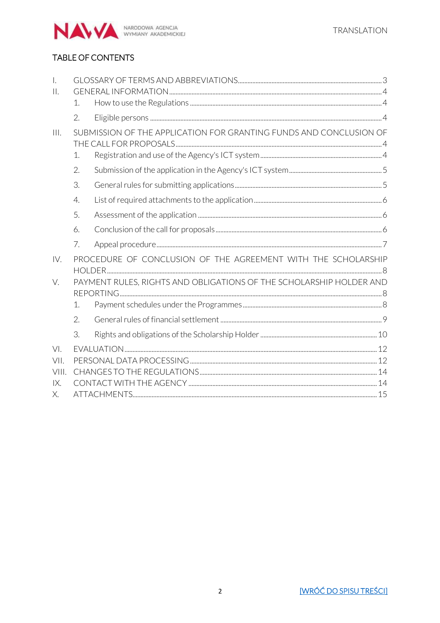

# <span id="page-1-0"></span>TABLE OF CONTENTS

| $\overline{a}$ |                                                                    |                                                                     |  |  |  |
|----------------|--------------------------------------------------------------------|---------------------------------------------------------------------|--|--|--|
| $\prod$        |                                                                    |                                                                     |  |  |  |
|                | $\mathcal{1}$ .                                                    |                                                                     |  |  |  |
|                | 2.                                                                 |                                                                     |  |  |  |
| III.           | SUBMISSION OF THE APPLICATION FOR GRANTING FUNDS AND CONCLUSION OF |                                                                     |  |  |  |
|                |                                                                    |                                                                     |  |  |  |
|                | 1.                                                                 |                                                                     |  |  |  |
|                | 2.                                                                 |                                                                     |  |  |  |
|                | 3.                                                                 |                                                                     |  |  |  |
|                | $\overline{4}$ .                                                   |                                                                     |  |  |  |
|                | 5.                                                                 |                                                                     |  |  |  |
|                | 6.                                                                 |                                                                     |  |  |  |
|                | 7.                                                                 |                                                                     |  |  |  |
| IV.            | PROCEDURE OF CONCLUSION OF THE AGREEMENT WITH THE SCHOLARSHIP      |                                                                     |  |  |  |
|                |                                                                    |                                                                     |  |  |  |
| V.             |                                                                    | PAYMENT RULES, RIGHTS AND OBLIGATIONS OF THE SCHOLARSHIP HOLDER AND |  |  |  |
|                | 1.                                                                 |                                                                     |  |  |  |
|                | 2.                                                                 |                                                                     |  |  |  |
|                | 3.                                                                 |                                                                     |  |  |  |
| VI.            |                                                                    |                                                                     |  |  |  |
| VII.           |                                                                    |                                                                     |  |  |  |
| VIII.          |                                                                    |                                                                     |  |  |  |
| IX.            |                                                                    |                                                                     |  |  |  |
| Х.             |                                                                    |                                                                     |  |  |  |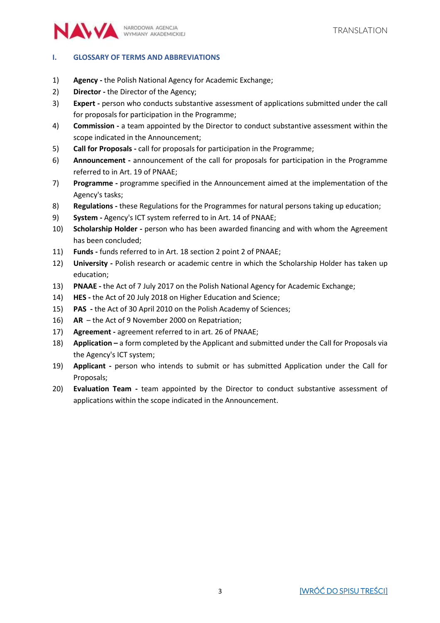

#### <span id="page-2-0"></span>**I. GLOSSARY OF TERMS AND ABBREVIATIONS**

- 1) **Agency -** the Polish National Agency for Academic Exchange;
- 2) **Director -** the Director of the Agency;
- 3) **Expert -** person who conducts substantive assessment of applications submitted under the call for proposals for participation in the Programme;
- 4) **Commission -** a team appointed by the Director to conduct substantive assessment within the scope indicated in the Announcement;
- 5) **Call for Proposals -** call for proposals for participation in the Programme;
- 6) **Announcement -** announcement of the call for proposals for participation in the Programme referred to in Art. 19 of PNAAE;
- 7) **Programme -** programme specified in the Announcement aimed at the implementation of the Agency's tasks;
- 8) **Regulations -** these Regulations for the Programmes for natural persons taking up education;
- 9) **System -** Agency's ICT system referred to in Art. 14 of PNAAE;
- 10) **Scholarship Holder -** person who has been awarded financing and with whom the Agreement has been concluded;
- 11) **Funds -** funds referred to in Art. 18 section 2 point 2 of PNAAE;
- 12) **University -** Polish research or academic centre in which the Scholarship Holder has taken up education;
- 13) **PNAAE -** the Act of 7 July 2017 on the Polish National Agency for Academic Exchange;
- 14) **HES -** the Act of 20 July 2018 on Higher Education and Science;
- 15) **PAS -** the Act of 30 April 2010 on the Polish Academy of Sciences;
- 16) **AR**  the Act of 9 November 2000 on Repatriation;
- 17) **Agreement -** agreement referred to in art. 26 of PNAAE;
- 18) **Application –** a form completed by the Applicant and submitted under the Call for Proposals via the Agency's ICT system;
- 19) **Applicant -** person who intends to submit or has submitted Application under the Call for Proposals;
- 20) **Evaluation Team -** team appointed by the Director to conduct substantive assessment of applications within the scope indicated in the Announcement.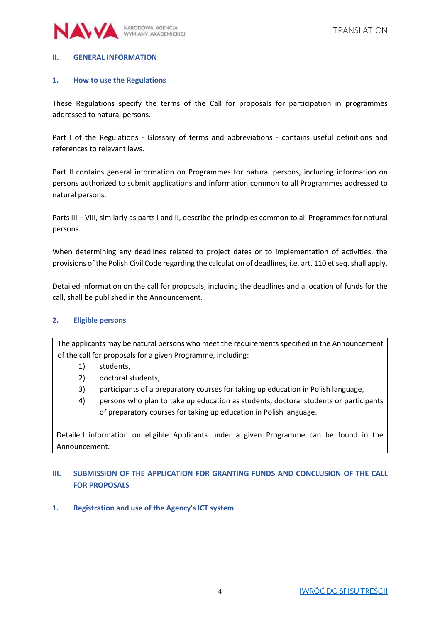

#### <span id="page-3-0"></span>**II. GENERAL INFORMATION**

#### <span id="page-3-1"></span>**1. How to use the Regulations**

These Regulations specify the terms of the Call for proposals for participation in programmes addressed to natural persons.

Part I of the Regulations - Glossary of terms and abbreviations - contains useful definitions and references to relevant laws.

Part II contains general information on Programmes for natural persons, including information on persons authorized to submit applications and information common to all Programmes addressed to natural persons.

Parts III – VIII, similarly as parts I and II, describe the principles common to all Programmes for natural persons.

When determining any deadlines related to project dates or to implementation of activities, the provisions of the Polish Civil Code regarding the calculation of deadlines, i.e. art. 110 et seq. shall apply.

Detailed information on the call for proposals, including the deadlines and allocation of funds for the call, shall be published in the Announcement.

#### <span id="page-3-2"></span>**2. Eligible persons**

The applicants may be natural persons who meet the requirements specified in the Announcement of the call for proposals for a given Programme, including:

- 1) students,
- 2) doctoral students,
- 3) participants of a preparatory courses for taking up education in Polish language,
- 4) persons who plan to take up education as students, doctoral students or participants of preparatory courses for taking up education in Polish language.

Detailed information on eligible Applicants under a given Programme can be found in the Announcement.

# <span id="page-3-3"></span>**III. SUBMISSION OF THE APPLICATION FOR GRANTING FUNDS AND CONCLUSION OF THE CALL FOR PROPOSALS**

#### <span id="page-3-4"></span>**1. Registration and use of the Agency's ICT system**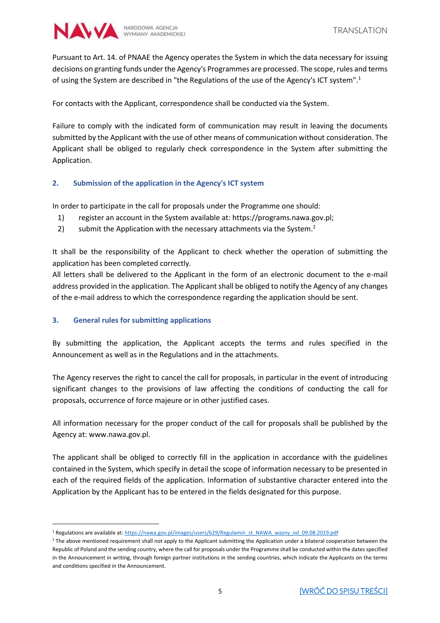

Pursuant to Art. 14. of PNAAE the Agency operates the System in which the data necessary for issuing decisions on granting funds under the Agency's Programmes are processed. The scope, rules and terms of using the System are described in "the Regulations of the use of the Agency's ICT system". 1

For contacts with the Applicant, correspondence shall be conducted via the System.

Failure to comply with the indicated form of communication may result in leaving the documents submitted by the Applicant with the use of other means of communication without consideration. The Applicant shall be obliged to regularly check correspondence in the System after submitting the Application.

# <span id="page-4-0"></span>**2. Submission of the application in the Agency's ICT system**

In order to participate in the call for proposals under the Programme one should:

- 1) register an account in the System available at: https://programs.nawa.gov.pl;
- 2) submit the Application with the necessary attachments via the System.<sup>2</sup>

It shall be the responsibility of the Applicant to check whether the operation of submitting the application has been completed correctly.

All letters shall be delivered to the Applicant in the form of an electronic document to the e-mail address provided in the application. The Applicant shall be obliged to notify the Agency of any changes of the e-mail address to which the correspondence regarding the application should be sent.

# <span id="page-4-1"></span>**3. General rules for submitting applications**

 $\overline{a}$ 

By submitting the application, the Applicant accepts the terms and rules specified in the Announcement as well as in the Regulations and in the attachments.

The Agency reserves the right to cancel the call for proposals, in particular in the event of introducing significant changes to the provisions of law affecting the conditions of conducting the call for proposals, occurrence of force majeure or in other justified cases.

All information necessary for the proper conduct of the call for proposals shall be published by the Agency at: www.nawa.gov.pl.

The applicant shall be obliged to correctly fill in the application in accordance with the guidelines contained in the System, which specify in detail the scope of information necessary to be presented in each of the required fields of the application. Information of substantive character entered into the Application by the Applicant has to be entered in the fields designated for this purpose.

<sup>&</sup>lt;sup>1</sup> Regulations are available at[: https://nawa.gov.pl/images/users/629/Regulamin\\_st\\_NAWA\\_wazny\\_od\\_09.08.2019.pdf](https://nawa.gov.pl/images/users/629/Regulamin_st_NAWA_wazny_od_09.08.2019.pdf)

<sup>&</sup>lt;sup>2</sup> The above mentioned requirement shall not apply to the Applicant submitting the Application under a bilateral cooperation between the Republic of Poland and the sending country, where the call for proposals under the Programme shall be conducted within the dates specified in the Announcement in writing, through foreign partner institutions in the sending countries, which indicate the Applicants on the terms and conditions specified in the Announcement.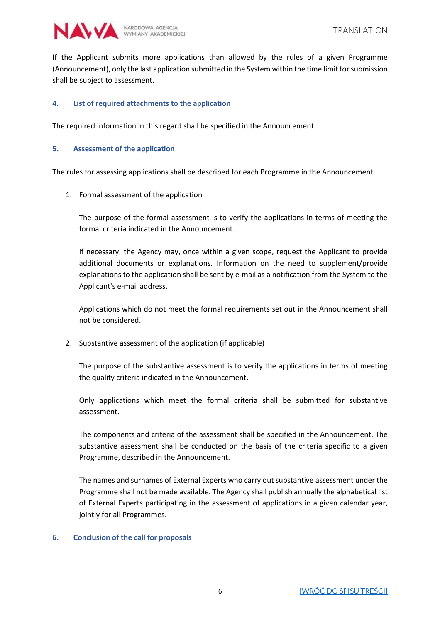

If the Applicant submits more applications than allowed by the rules of a given Programme (Announcement), only the last application submitted in the System within the time limit for submission shall be subject to assessment.

#### <span id="page-5-0"></span>**4. List of required attachments to the application**

The required information in this regard shall be specified in the Announcement.

#### <span id="page-5-1"></span>**5. Assessment of the application**

The rules for assessing applications shall be described for each Programme in the Announcement.

1. Formal assessment of the application

The purpose of the formal assessment is to verify the applications in terms of meeting the formal criteria indicated in the Announcement.

If necessary, the Agency may, once within a given scope, request the Applicant to provide additional documents or explanations. Information on the need to supplement/provide explanations to the application shall be sent by e-mail as a notification from the System to the Applicant's e-mail address.

Applications which do not meet the formal requirements set out in the Announcement shall not be considered.

2. Substantive assessment of the application (if applicable)

The purpose of the substantive assessment is to verify the applications in terms of meeting the quality criteria indicated in the Announcement.

Only applications which meet the formal criteria shall be submitted for substantive assessment.

The components and criteria of the assessment shall be specified in the Announcement. The substantive assessment shall be conducted on the basis of the criteria specific to a given Programme, described in the Announcement.

The names and surnames of External Experts who carry out substantive assessment under the Programme shall not be made available. The Agency shall publish annually the alphabetical list of External Experts participating in the assessment of applications in a given calendar year, jointly for all Programmes.

#### <span id="page-5-2"></span>**6. Conclusion of the call for proposals**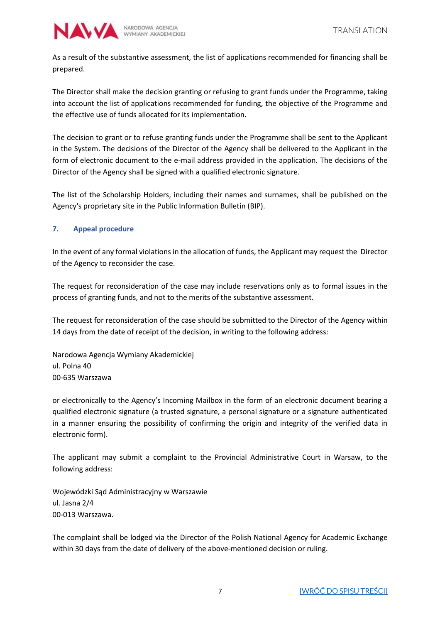

As a result of the substantive assessment, the list of applications recommended for financing shall be prepared.

The Director shall make the decision granting or refusing to grant funds under the Programme, taking into account the list of applications recommended for funding, the objective of the Programme and the effective use of funds allocated for its implementation.

The decision to grant or to refuse granting funds under the Programme shall be sent to the Applicant in the System. The decisions of the Director of the Agency shall be delivered to the Applicant in the form of electronic document to the e-mail address provided in the application. The decisions of the Director of the Agency shall be signed with a qualified electronic signature.

The list of the Scholarship Holders, including their names and surnames, shall be published on the Agency's proprietary site in the Public Information Bulletin (BIP).

# <span id="page-6-0"></span>**7. Appeal procedure**

In the event of any formal violations in the allocation of funds, the Applicant may request the Director of the Agency to reconsider the case.

The request for reconsideration of the case may include reservations only as to formal issues in the process of granting funds, and not to the merits of the substantive assessment.

The request for reconsideration of the case should be submitted to the Director of the Agency within 14 days from the date of receipt of the decision, in writing to the following address:

Narodowa Agencja Wymiany Akademickiej ul. Polna 40 00-635 Warszawa

or electronically to the Agency's Incoming Mailbox in the form of an electronic document bearing a qualified electronic signature (a trusted signature, a personal signature or a signature authenticated in a manner ensuring the possibility of confirming the origin and integrity of the verified data in electronic form).

The applicant may submit a complaint to the Provincial Administrative Court in Warsaw, to the following address:

Wojewódzki Sąd Administracyjny w Warszawie ul. Jasna 2/4 00-013 Warszawa.

The complaint shall be lodged via the Director of the Polish National Agency for Academic Exchange within 30 days from the date of delivery of the above-mentioned decision or ruling.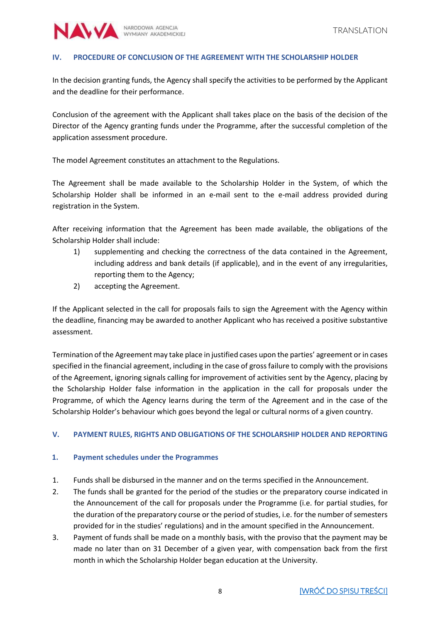

#### <span id="page-7-0"></span>**IV. PROCEDURE OF CONCLUSION OF THE AGREEMENT WITH THE SCHOLARSHIP HOLDER**

In the decision granting funds, the Agency shall specify the activities to be performed by the Applicant and the deadline for their performance.

Conclusion of the agreement with the Applicant shall takes place on the basis of the decision of the Director of the Agency granting funds under the Programme, after the successful completion of the application assessment procedure.

The model Agreement constitutes an attachment to the Regulations.

The Agreement shall be made available to the Scholarship Holder in the System, of which the Scholarship Holder shall be informed in an e-mail sent to the e-mail address provided during registration in the System.

After receiving information that the Agreement has been made available, the obligations of the Scholarship Holder shall include:

- 1) supplementing and checking the correctness of the data contained in the Agreement, including address and bank details (if applicable), and in the event of any irregularities, reporting them to the Agency;
- 2) accepting the Agreement.

If the Applicant selected in the call for proposals fails to sign the Agreement with the Agency within the deadline, financing may be awarded to another Applicant who has received a positive substantive assessment.

Termination of the Agreement may take place in justified cases upon the parties' agreement or in cases specified in the financial agreement, including in the case of gross failure to comply with the provisions of the Agreement, ignoring signals calling for improvement of activities sent by the Agency, placing by the Scholarship Holder false information in the application in the call for proposals under the Programme, of which the Agency learns during the term of the Agreement and in the case of the Scholarship Holder's behaviour which goes beyond the legal or cultural norms of a given country.

#### <span id="page-7-1"></span>**V. PAYMENT RULES, RIGHTS AND OBLIGATIONS OF THE SCHOLARSHIP HOLDER AND REPORTING**

#### <span id="page-7-2"></span>**1. Payment schedules under the Programmes**

- 1. Funds shall be disbursed in the manner and on the terms specified in the Announcement.
- 2. The funds shall be granted for the period of the studies or the preparatory course indicated in the Announcement of the call for proposals under the Programme (i.e. for partial studies, for the duration of the preparatory course or the period of studies, i.e. for the number of semesters provided for in the studies' regulations) and in the amount specified in the Announcement.
- 3. Payment of funds shall be made on a monthly basis, with the proviso that the payment may be made no later than on 31 December of a given year, with compensation back from the first month in which the Scholarship Holder began education at the University.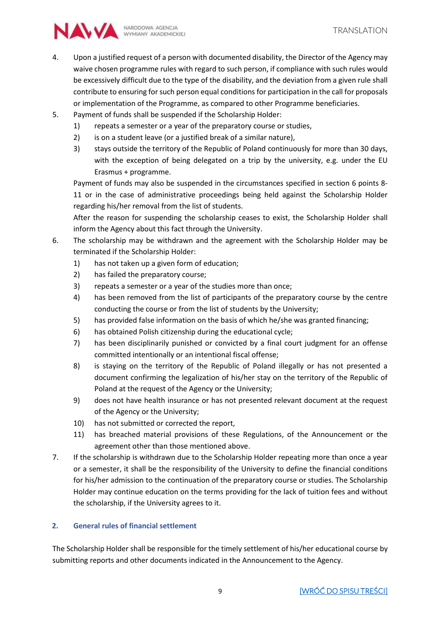

- 4. Upon a justified request of a person with documented disability, the Director of the Agency may waive chosen programme rules with regard to such person, if compliance with such rules would be excessively difficult due to the type of the disability, and the deviation from a given rule shall contribute to ensuring for such person equal conditions for participation in the call for proposals or implementation of the Programme, as compared to other Programme beneficiaries.
- 5. Payment of funds shall be suspended if the Scholarship Holder:
	- 1) repeats a semester or a year of the preparatory course or studies,
	- 2) is on a student leave (or a justified break of a similar nature),
	- 3) stays outside the territory of the Republic of Poland continuously for more than 30 days, with the exception of being delegated on a trip by the university, e.g. under the EU Erasmus + programme.

Payment of funds may also be suspended in the circumstances specified in section 6 points 8- 11 or in the case of administrative proceedings being held against the Scholarship Holder regarding his/her removal from the list of students.

After the reason for suspending the scholarship ceases to exist, the Scholarship Holder shall inform the Agency about this fact through the University.

- 6. The scholarship may be withdrawn and the agreement with the Scholarship Holder may be terminated if the Scholarship Holder:
	- 1) has not taken up a given form of education;
	- 2) has failed the preparatory course;
	- 3) repeats a semester or a year of the studies more than once;
	- 4) has been removed from the list of participants of the preparatory course by the centre conducting the course or from the list of students by the University;
	- 5) has provided false information on the basis of which he/she was granted financing;
	- 6) has obtained Polish citizenship during the educational cycle;
	- 7) has been disciplinarily punished or convicted by a final court judgment for an offense committed intentionally or an intentional fiscal offense;
	- 8) is staying on the territory of the Republic of Poland illegally or has not presented a document confirming the legalization of his/her stay on the territory of the Republic of Poland at the request of the Agency or the University;
	- 9) does not have health insurance or has not presented relevant document at the request of the Agency or the University;
	- 10) has not submitted or corrected the report,
	- 11) has breached material provisions of these Regulations, of the Announcement or the agreement other than those mentioned above.
- 7. If the scholarship is withdrawn due to the Scholarship Holder repeating more than once a year or a semester, it shall be the responsibility of the University to define the financial conditions for his/her admission to the continuation of the preparatory course or studies. The Scholarship Holder may continue education on the terms providing for the lack of tuition fees and without the scholarship, if the University agrees to it.

# <span id="page-8-0"></span>**2. General rules of financial settlement**

The Scholarship Holder shall be responsible for the timely settlement of his/her educational course by submitting reports and other documents indicated in the Announcement to the Agency.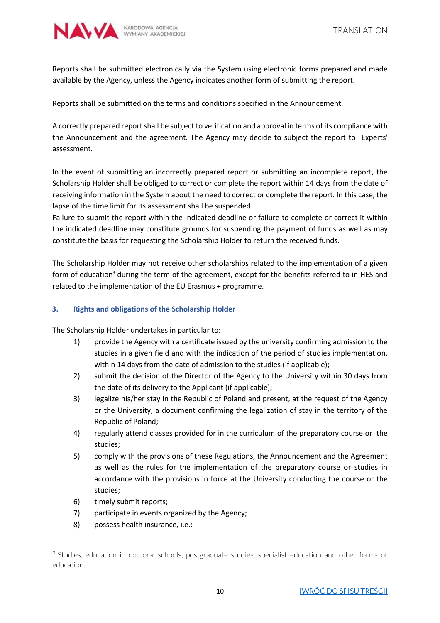

Reports shall be submitted electronically via the System using electronic forms prepared and made available by the Agency, unless the Agency indicates another form of submitting the report.

Reports shall be submitted on the terms and conditions specified in the Announcement.

A correctly prepared report shall be subject to verification and approval in terms of its compliance with the Announcement and the agreement. The Agency may decide to subject the report to Experts' assessment.

In the event of submitting an incorrectly prepared report or submitting an incomplete report, the Scholarship Holder shall be obliged to correct or complete the report within 14 days from the date of receiving information in the System about the need to correct or complete the report. In this case, the lapse of the time limit for its assessment shall be suspended.

Failure to submit the report within the indicated deadline or failure to complete or correct it within the indicated deadline may constitute grounds for suspending the payment of funds as well as may constitute the basis for requesting the Scholarship Holder to return the received funds.

The Scholarship Holder may not receive other scholarships related to the implementation of a given form of education<sup>3</sup> during the term of the agreement, except for the benefits referred to in HES and related to the implementation of the EU Erasmus + programme.

# <span id="page-9-0"></span>**3. Rights and obligations of the Scholarship Holder**

The Scholarship Holder undertakes in particular to:

- 1) provide the Agency with a certificate issued by the university confirming admission to the studies in a given field and with the indication of the period of studies implementation, within 14 days from the date of admission to the studies (if applicable);
- 2) submit the decision of the Director of the Agency to the University within 30 days from the date of its delivery to the Applicant (if applicable);
- 3) legalize his/her stay in the Republic of Poland and present, at the request of the Agency or the University, a document confirming the legalization of stay in the territory of the Republic of Poland;
- 4) regularly attend classes provided for in the curriculum of the preparatory course or the studies;
- 5) comply with the provisions of these Regulations, the Announcement and the Agreement as well as the rules for the implementation of the preparatory course or studies in accordance with the provisions in force at the University conducting the course or the studies;
- 6) timely submit reports;

 $\overline{a}$ 

- 7) participate in events organized by the Agency;
- 8) possess health insurance, i.e.:

<sup>&</sup>lt;sup>3</sup> Studies, education in doctoral schools, postgraduate studies, specialist education and other forms of education.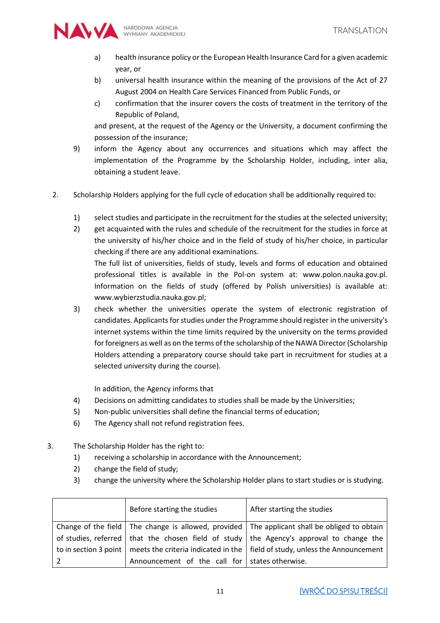

- a) health insurance policy or the European Health Insurance Card for a given academic year, or
- b) universal health insurance within the meaning of the provisions of the Act of 27 August 2004 on Health Care Services Financed from Public Funds, or
- c) confirmation that the insurer covers the costs of treatment in the territory of the Republic of Poland,

and present, at the request of the Agency or the University, a document confirming the possession of the insurance;

- 9) inform the Agency about any occurrences and situations which may affect the implementation of the Programme by the Scholarship Holder, including, inter alia, obtaining a student leave.
- 2. Scholarship Holders applying for the full cycle of education shall be additionally required to:
	- 1) select studies and participate in the recruitment for the studies at the selected university;
	- 2) get acquainted with the rules and schedule of the recruitment for the studies in force at the university of his/her choice and in the field of study of his/her choice, in particular checking if there are any additional examinations. The full list of universities, fields of study, levels and forms of education and obtained

professional titles is available in the Pol-on system at: www.polon.nauka.gov.pl. Information on the fields of study (offered by Polish universities) is available at: www.wybierzstudia.nauka.gov.pl;

3) check whether the universities operate the system of electronic registration of candidates. Applicants for studies under the Programme should register in the university's internet systems within the time limits required by the university on the terms provided for foreigners as well as on the terms of the scholarship of the NAWA Director(Scholarship Holders attending a preparatory course should take part in recruitment for studies at a selected university during the course).

In addition, the Agency informs that

- 4) Decisions on admitting candidates to studies shall be made by the Universities;
- 5) Non-public universities shall define the financial terms of education;
- 6) The Agency shall not refund registration fees.
- 3. The Scholarship Holder has the right to:
	- 1) receiving a scholarship in accordance with the Announcement;
	- 2) change the field of study;
	- 3) change the university where the Scholarship Holder plans to start studies or is studying.

| Before starting the studies                      | After starting the studies                                                                                   |
|--------------------------------------------------|--------------------------------------------------------------------------------------------------------------|
|                                                  | Change of the field $\vert$ The change is allowed, provided $\vert$ The applicant shall be obliged to obtain |
|                                                  | of studies, referred   that the chosen field of study   the Agency's approval to change the                  |
|                                                  | to in section 3 point   meets the criteria indicated in the   field of study, unless the Announcement        |
| Announcement of the call for   states otherwise. |                                                                                                              |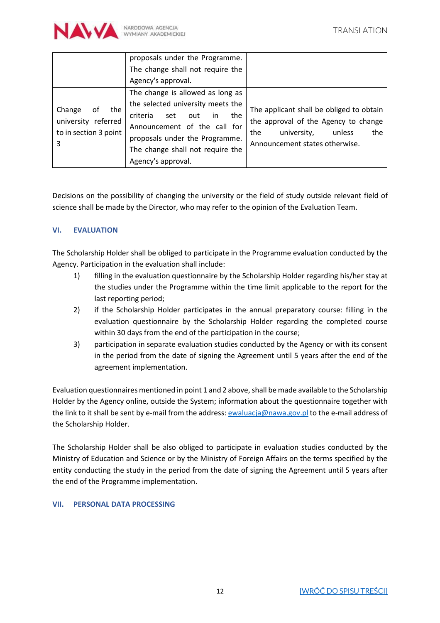

|                                                                          | proposals under the Programme.<br>The change shall not require the                                                                                                                                                                       |                                                                                                                                                           |
|--------------------------------------------------------------------------|------------------------------------------------------------------------------------------------------------------------------------------------------------------------------------------------------------------------------------------|-----------------------------------------------------------------------------------------------------------------------------------------------------------|
|                                                                          | Agency's approval.                                                                                                                                                                                                                       |                                                                                                                                                           |
| Change<br>the<br>0f<br>university referred<br>to in section 3 point<br>3 | The change is allowed as long as<br>the selected university meets the<br>criteria<br>the<br>set<br>out<br>in<br>Announcement of the call for<br>proposals under the Programme.<br>The change shall not require the<br>Agency's approval. | The applicant shall be obliged to obtain<br>the approval of the Agency to change<br>university,<br>the<br>the<br>unless<br>Announcement states otherwise. |

Decisions on the possibility of changing the university or the field of study outside relevant field of science shall be made by the Director, who may refer to the opinion of the Evaluation Team.

# <span id="page-11-0"></span>**VI. EVALUATION**

The Scholarship Holder shall be obliged to participate in the Programme evaluation conducted by the Agency. Participation in the evaluation shall include:

- 1) filling in the evaluation questionnaire by the Scholarship Holder regarding his/her stay at the studies under the Programme within the time limit applicable to the report for the last reporting period;
- 2) if the Scholarship Holder participates in the annual preparatory course: filling in the evaluation questionnaire by the Scholarship Holder regarding the completed course within 30 days from the end of the participation in the course;
- 3) participation in separate evaluation studies conducted by the Agency or with its consent in the period from the date of signing the Agreement until 5 years after the end of the agreement implementation.

Evaluation questionnaires mentioned in point 1 and 2 above, shall be made available to the Scholarship Holder by the Agency online, outside the System; information about the questionnaire together with the link to it shall be sent by e-mail from the address[: ewaluacja@nawa.gov.pl](mailto:ewaluacja@nawa.gov.pl) to the e-mail address of the Scholarship Holder.

The Scholarship Holder shall be also obliged to participate in evaluation studies conducted by the Ministry of Education and Science or by the Ministry of Foreign Affairs on the terms specified by the entity conducting the study in the period from the date of signing the Agreement until 5 years after the end of the Programme implementation.

# <span id="page-11-1"></span>**VII. PERSONAL DATA PROCESSING**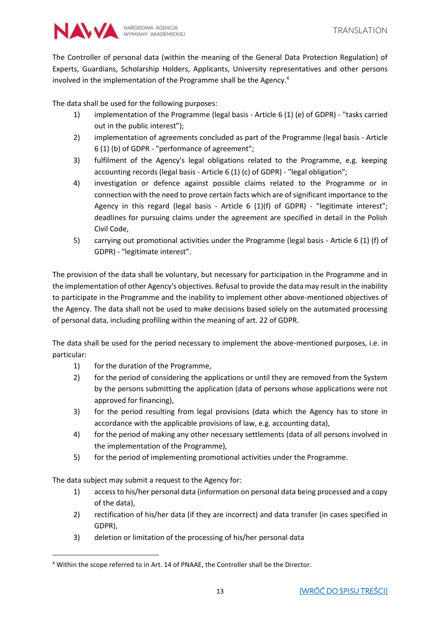![](_page_12_Picture_0.jpeg)

The Controller of personal data (within the meaning of the General Data Protection Regulation) of Experts, Guardians, Scholarship Holders, Applicants, University representatives and other persons involved in the implementation of the Programme shall be the Agency.<sup>4</sup>

The data shall be used for the following purposes:

- 1) implementation of the Programme (legal basis Article 6 (1) (e) of GDPR) "tasks carried out in the public interest");
- 2) implementation of agreements concluded as part of the Programme (legal basis Article 6 (1) (b) of GDPR - "performance of agreement";
- 3) fulfilment of the Agency's legal obligations related to the Programme, e.g. keeping accounting records (legal basis - Article 6 (1) (c) of GDPR) - "legal obligation";
- 4) investigation or defence against possible claims related to the Programme or in connection with the need to prove certain facts which are of significant importance to the Agency in this regard (legal basis - Article 6 (1)(f) of GDPR) - "legitimate interest"; deadlines for pursuing claims under the agreement are specified in detail in the Polish Civil Code,
- 5) carrying out promotional activities under the Programme (legal basis Article 6 (1) (f) of GDPR) - "legitimate interest".

The provision of the data shall be voluntary, but necessary for participation in the Programme and in the implementation of other Agency's objectives. Refusal to provide the data may result in the inability to participate in the Programme and the inability to implement other above-mentioned objectives of the Agency. The data shall not be used to make decisions based solely on the automated processing of personal data, including profiling within the meaning of art. 22 of GDPR.

The data shall be used for the period necessary to implement the above-mentioned purposes, i.e. in particular:

- 1) for the duration of the Programme,
- 2) for the period of considering the applications or until they are removed from the System by the persons submitting the application (data of persons whose applications were not approved for financing),
- 3) for the period resulting from legal provisions (data which the Agency has to store in accordance with the applicable provisions of law, e.g. accounting data),
- 4) for the period of making any other necessary settlements (data of all persons involved in the implementation of the Programme),
- 5) for the period of implementing promotional activities under the Programme.

The data subject may submit a request to the Agency for:

 $\overline{a}$ 

- 1) access to his/her personal data (information on personal data being processed and a copy of the data),
- 2) rectification of his/her data (if they are incorrect) and data transfer (in cases specified in GDPR),
- 3) deletion or limitation of the processing of his/her personal data

<sup>4</sup> Within the scope referred to in Art. 14 of PNAAE, the Controller shall be the Director.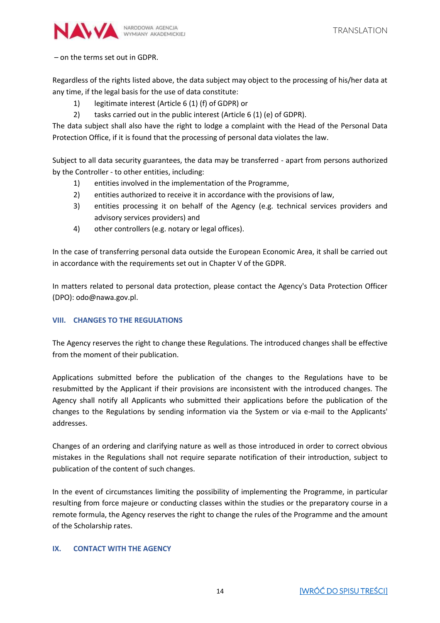![](_page_13_Picture_0.jpeg)

– on the terms set out in GDPR.

Regardless of the rights listed above, the data subject may object to the processing of his/her data at any time, if the legal basis for the use of data constitute:

- 1) legitimate interest (Article 6 (1) (f) of GDPR) or
- 2) tasks carried out in the public interest (Article 6 (1) (e) of GDPR).

The data subject shall also have the right to lodge a complaint with the Head of the Personal Data Protection Office, if it is found that the processing of personal data violates the law.

Subject to all data security guarantees, the data may be transferred - apart from persons authorized by the Controller - to other entities, including:

- 1) entities involved in the implementation of the Programme,
- 2) entities authorized to receive it in accordance with the provisions of law,
- 3) entities processing it on behalf of the Agency (e.g. technical services providers and advisory services providers) and
- 4) other controllers (e.g. notary or legal offices).

In the case of transferring personal data outside the European Economic Area, it shall be carried out in accordance with the requirements set out in Chapter V of the GDPR.

In matters related to personal data protection, please contact the Agency's Data Protection Officer (DPO): odo@nawa.gov.pl.

# <span id="page-13-0"></span>**VIII. CHANGES TO THE REGULATIONS**

The Agency reserves the right to change these Regulations. The introduced changes shall be effective from the moment of their publication.

Applications submitted before the publication of the changes to the Regulations have to be resubmitted by the Applicant if their provisions are inconsistent with the introduced changes. The Agency shall notify all Applicants who submitted their applications before the publication of the changes to the Regulations by sending information via the System or via e-mail to the Applicants' addresses.

Changes of an ordering and clarifying nature as well as those introduced in order to correct obvious mistakes in the Regulations shall not require separate notification of their introduction, subject to publication of the content of such changes.

In the event of circumstances limiting the possibility of implementing the Programme, in particular resulting from force majeure or conducting classes within the studies or the preparatory course in a remote formula, the Agency reserves the right to change the rules of the Programme and the amount of the Scholarship rates.

# <span id="page-13-1"></span>**IX. CONTACT WITH THE AGENCY**